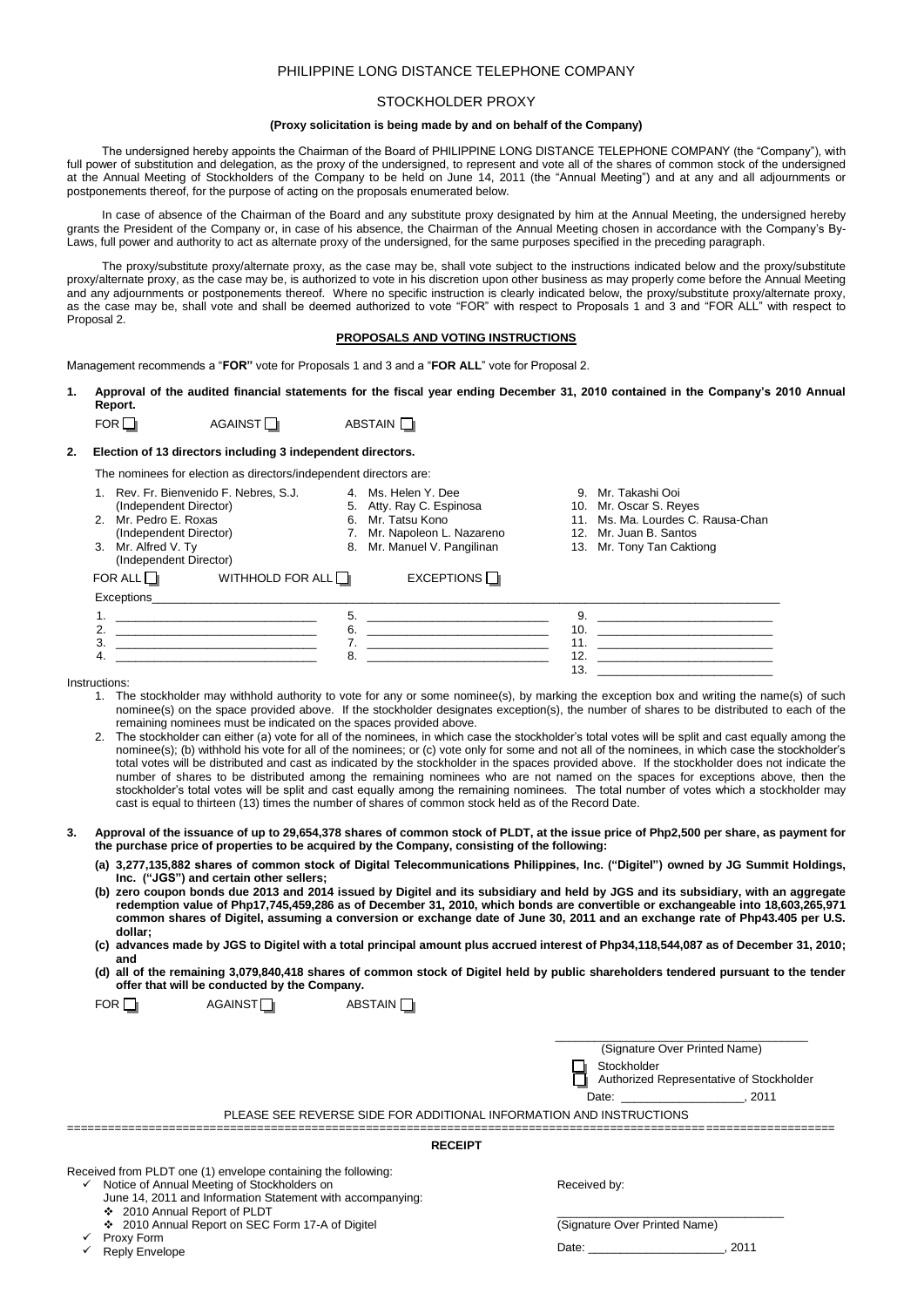# PHILIPPINE LONG DISTANCE TELEPHONE COMPANY

# STOCKHOLDER PROXY

## **(Proxy solicitation is being made by and on behalf of the Company)**

The undersigned hereby appoints the Chairman of the Board of PHILIPPINE LONG DISTANCE TELEPHONE COMPANY (the "Company"), with full power of substitution and delegation, as the proxy of the undersigned, to represent and vote all of the shares of common stock of the undersigned at the Annual Meeting of Stockholders of the Company to be held on June 14, 2011 (the "Annual Meeting") and at any and all adjournments or postponements thereof, for the purpose of acting on the proposals enumerated below.

In case of absence of the Chairman of the Board and any substitute proxy designated by him at the Annual Meeting, the undersigned hereby grants the President of the Company or, in case of his absence, the Chairman of the Annual Meeting chosen in accordance with the Company's By-Laws, full power and authority to act as alternate proxy of the undersigned, for the same purposes specified in the preceding paragraph.

The proxy/substitute proxy/alternate proxy, as the case may be, shall vote subject to the instructions indicated below and the proxy/substitute proxy/alternate proxy, as the case may be, is authorized to vote in his discretion upon other business as may properly come before the Annual Meeting and any adjournments or postponements thereof. Where no specific instruction is clearly indicated below, the proxy/substitute proxy/alternate proxy, as the case may be, shall vote and shall be deemed authorized to vote "FOR" with respect to Proposals 1 and 3 and "FOR ALL" with respect to Proposal 2.

## **PROPOSALS AND VOTING INSTRUCTIONS**

Management recommends a "**FOR"** vote for Proposals 1 and 3 and a "**FOR ALL**" vote for Proposal 2.

**1. Approval of the audited financial statements for the fiscal year ending December 31, 2010 contained in the Company's 2010 Annual Report.**

| FOR | AGAINST <sup>I</sup> | ABSTAIN <sup>[1]</sup> |
|-----|----------------------|------------------------|
|-----|----------------------|------------------------|

# **2. Election of 13 directors including 3 independent directors.**

The nominees for election as directors/independent directors are:

 $FOR \nightharpoonup$   $AGMNST \nightharpoonup$   $ARSTAIN \nightharpoonup$ 

| 1. Rev. Fr. Bienvenido F. Nebres, S.J.<br>5. Atty. Ray C. Espinosa<br>(Independent Director)<br>10. Mr. Oscar S. Reyes<br>11. Ms. Ma. Lourdes C. Rausa-Chan<br>2. Mr. Pedro E. Roxas<br>6. Mr. Tatsu Kono<br>(Independent Director)<br>Mr. Napoleon L. Nazareno<br>12. Mr. Juan B. Santos<br>3. Mr. Alfred V. Ty<br>8. Mr. Manuel V. Pangilinan<br>13. Mr. Tony Tan Caktiong<br>(Independent Director) |  |
|--------------------------------------------------------------------------------------------------------------------------------------------------------------------------------------------------------------------------------------------------------------------------------------------------------------------------------------------------------------------------------------------------------|--|
| EXCEPTIONS<br>WITHHOLD FOR ALL $\Box$<br>FOR ALL $\Box$                                                                                                                                                                                                                                                                                                                                                |  |
| Exceptions                                                                                                                                                                                                                                                                                                                                                                                             |  |
| 5.                                                                                                                                                                                                                                                                                                                                                                                                     |  |
| 6.<br>10.                                                                                                                                                                                                                                                                                                                                                                                              |  |
| 3.<br>11.                                                                                                                                                                                                                                                                                                                                                                                              |  |
| 12.<br>8.<br>4.                                                                                                                                                                                                                                                                                                                                                                                        |  |
| 13.                                                                                                                                                                                                                                                                                                                                                                                                    |  |

Instructions:

- 1. The stockholder may withhold authority to vote for any or some nominee(s), by marking the exception box and writing the name(s) of such nominee(s) on the space provided above. If the stockholder designates exception(s), the number of shares to be distributed to each of the remaining nominees must be indicated on the spaces provided above.
- 2. The stockholder can either (a) vote for all of the nominees, in which case the stockholder's total votes will be split and cast equally among the nominee(s); (b) withhold his vote for all of the nominees; or (c) vote only for some and not all of the nominees, in which case the stockholder's total votes will be distributed and cast as indicated by the stockholder in the spaces provided above. If the stockholder does not indicate the number of shares to be distributed among the remaining nominees who are not named on the spaces for exceptions above, then the stockholder's total votes will be split and cast equally among the remaining nominees. The total number of votes which a stockholder may cast is equal to thirteen (13) times the number of shares of common stock held as of the Record Date.
- **3. Approval of the issuance of up to 29,654,378 shares of common stock of PLDT, at the issue price of Php2,500 per share, as payment for the purchase price of properties to be acquired by the Company, consisting of the following:** 
	- **(a) 3,277,135,882 shares of common stock of Digital Telecommunications Philippines, Inc. ("Digitel") owned by JG Summit Holdings, Inc. ("JGS") and certain other sellers;**
	- **(b) zero coupon bonds due 2013 and 2014 issued by Digitel and its subsidiary and held by JGS and its subsidiary, with an aggregate redemption value of Php17,745,459,286 as of December 31, 2010, which bonds are convertible or exchangeable into 18,603,265,971 common shares of Digitel, assuming a conversion or exchange date of June 30, 2011 and an exchange rate of Php43.405 per U.S. dollar;**
	- **(c) advances made by JGS to Digitel with a total principal amount plus accrued interest of Php34,118,544,087 as of December 31, 2010; and**
	- **(d) all of the remaining 3,079,840,418 shares of common stock of Digitel held by public shareholders tendered pursuant to the tender offer that will be conducted by the Company.**

| PLEASE SEE REVERSE SIDE FOR ADDITIONAL INFORMATION AND INSTRUCTIONS                                                                                                                                                     | (Signature Over Printed Name)<br>Stockholder<br>Authorized Representative of Stockholder<br>Date:<br>2011 |
|-------------------------------------------------------------------------------------------------------------------------------------------------------------------------------------------------------------------------|-----------------------------------------------------------------------------------------------------------|
|                                                                                                                                                                                                                         |                                                                                                           |
| <b>RECEIPT</b>                                                                                                                                                                                                          |                                                                                                           |
| Received from PLDT one (1) envelope containing the following:<br>$\checkmark$ Notice of Annual Meeting of Stockholders on<br>June 14, 2011 and Information Statement with accompanying:<br>❖ 2010 Annual Report of PLDT | Received by:                                                                                              |
| ❖ 2010 Annual Report on SEC Form 17-A of Digitel                                                                                                                                                                        | (Signature Over Printed Name)                                                                             |

#### ✓ Proxy Form

 $\checkmark$ Reply Envelope

Date: \_\_\_\_\_\_\_\_\_\_\_\_\_\_\_\_\_\_\_\_\_, 2011